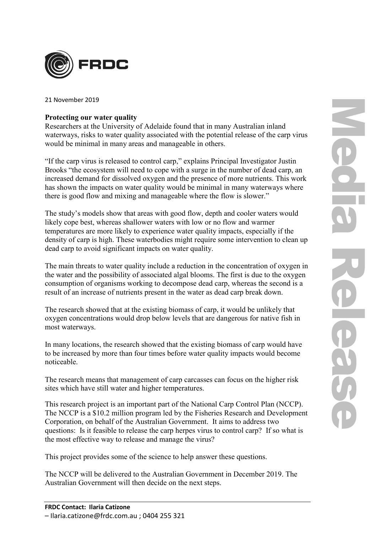

21 November 2019

## **Protecting our water quality**

Researchers at the University of Adelaide found that in many Australian inland waterways, risks to water quality associated with the potential release of the carp virus would be minimal in many areas and manageable in others.

"If the carp virus is released to control carp," explains Principal Investigator Justin Brooks "the ecosystem will need to cope with a surge in the number of dead carp, an increased demand for dissolved oxygen and the presence of more nutrients. This work has shown the impacts on water quality would be minimal in many waterways where there is good flow and mixing and manageable where the flow is slower."

The study's models show that areas with good flow, depth and cooler waters would likely cope best, whereas shallower waters with low or no flow and warmer temperatures are more likely to experience water quality impacts, especially if the density of carp is high. These waterbodies might require some intervention to clean up dead carp to avoid significant impacts on water quality.

The main threats to water quality include a reduction in the concentration of oxygen in the water and the possibility of associated algal blooms. The first is due to the oxygen consumption of organisms working to decompose dead carp, whereas the second is a result of an increase of nutrients present in the water as dead carp break down.

The research showed that at the existing biomass of carp, it would be unlikely that oxygen concentrations would drop below levels that are dangerous for native fish in most waterways.

In many locations, the research showed that the existing biomass of carp would have to be increased by more than four times before water quality impacts would become noticeable.

The research means that management of carp carcasses can focus on the higher risk sites which have still water and higher temperatures.

This research project is an important part of the National Carp Control Plan (NCCP). The NCCP is a \$10.2 million program led by the Fisheries Research and Development Corporation, on behalf of the Australian Government. It aims to address two questions: Is it feasible to release the carp herpes virus to control carp? If so what is the most effective way to release and manage the virus?

This project provides some of the science to help answer these questions.

The NCCP will be delivered to the Australian Government in December 2019. The Australian Government will then decide on the next steps.